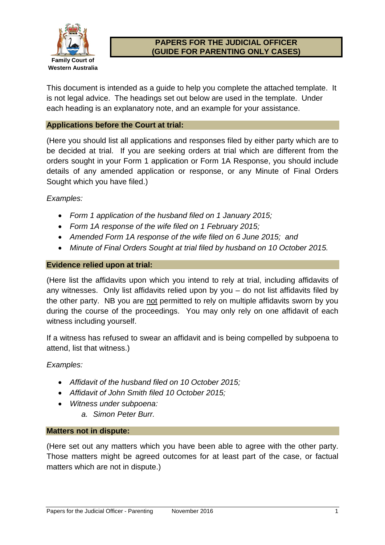

# **PAPERS FOR THE JUDICIAL OFFICER (GUIDE FOR PARENTING ONLY CASES)**

This document is intended as a guide to help you complete the attached template. It is not legal advice. The headings set out below are used in the template. Under each heading is an explanatory note, and an example for your assistance.

#### **Applications before the Court at trial:**

(Here you should list all applications and responses filed by either party which are to be decided at trial. If you are seeking orders at trial which are different from the orders sought in your Form 1 application or Form 1A Response, you should include details of any amended application or response, or any Minute of Final Orders Sought which you have filed.)

*Examples:*

- *Form 1 application of the husband filed on 1 January 2015;*
- *Form 1A response of the wife filed on 1 February 2015;*
- *Amended Form 1A response of the wife filed on 6 June 2015; and*
- *Minute of Final Orders Sought at trial filed by husband on 10 October 2015.*

#### **Evidence relied upon at trial:**

(Here list the affidavits upon which you intend to rely at trial, including affidavits of any witnesses. Only list affidavits relied upon by you – do not list affidavits filed by the other party. NB you are not permitted to rely on multiple affidavits sworn by you during the course of the proceedings. You may only rely on one affidavit of each witness including yourself.

If a witness has refused to swear an affidavit and is being compelled by subpoena to attend, list that witness.)

*Examples:*

- *Affidavit of the husband filed on 10 October 2015;*
- *Affidavit of John Smith filed 10 October 2015;*
- *Witness under subpoena:*
	- *a. Simon Peter Burr.*

#### **Matters not in dispute:**

(Here set out any matters which you have been able to agree with the other party. Those matters might be agreed outcomes for at least part of the case, or factual matters which are not in dispute.)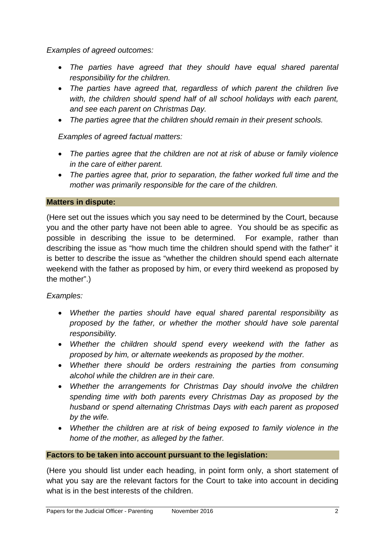*Examples of agreed outcomes:*

- *The parties have agreed that they should have equal shared parental responsibility for the children.*
- *The parties have agreed that, regardless of which parent the children live*  with, the children should spend half of all school holidays with each parent, *and see each parent on Christmas Day.*
- *The parties agree that the children should remain in their present schools.*

*Examples of agreed factual matters:*

- *The parties agree that the children are not at risk of abuse or family violence in the care of either parent.*
- *The parties agree that, prior to separation, the father worked full time and the mother was primarily responsible for the care of the children.*

### **Matters in dispute:**

(Here set out the issues which you say need to be determined by the Court, because you and the other party have not been able to agree. You should be as specific as possible in describing the issue to be determined. For example, rather than describing the issue as "how much time the children should spend with the father" it is better to describe the issue as "whether the children should spend each alternate weekend with the father as proposed by him, or every third weekend as proposed by the mother".)

# *Examples:*

- *Whether the parties should have equal shared parental responsibility as proposed by the father, or whether the mother should have sole parental responsibility.*
- *Whether the children should spend every weekend with the father as proposed by him, or alternate weekends as proposed by the mother.*
- *Whether there should be orders restraining the parties from consuming alcohol while the children are in their care.*
- *Whether the arrangements for Christmas Day should involve the children spending time with both parents every Christmas Day as proposed by the husband or spend alternating Christmas Days with each parent as proposed by the wife.*
- *Whether the children are at risk of being exposed to family violence in the home of the mother, as alleged by the father.*

### **Factors to be taken into account pursuant to the legislation:**

(Here you should list under each heading, in point form only, a short statement of what you say are the relevant factors for the Court to take into account in deciding what is in the best interests of the children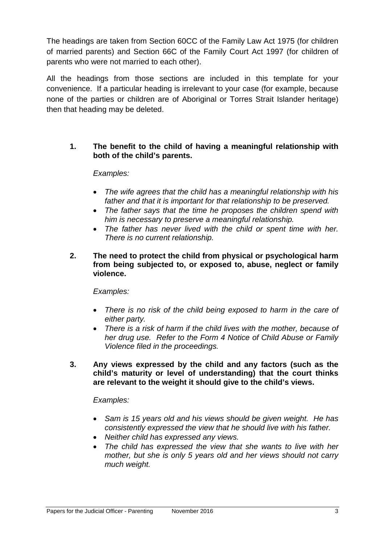The headings are taken from Section 60CC of the Family Law Act 1975 (for children of married parents) and Section 66C of the Family Court Act 1997 (for children of parents who were not married to each other).

All the headings from those sections are included in this template for your convenience. If a particular heading is irrelevant to your case (for example, because none of the parties or children are of Aboriginal or Torres Strait Islander heritage) then that heading may be deleted.

### **1. The benefit to the child of having a meaningful relationship with both of the child's parents.**

### *Examples:*

- The wife agrees that the child has a meaningful relationship with his *father and that it is important for that relationship to be preserved.*
- *The father says that the time he proposes the children spend with him is necessary to preserve a meaningful relationship.*
- *The father has never lived with the child or spent time with her. There is no current relationship.*
- **2. The need to protect the child from physical or psychological harm from being subjected to, or exposed to, abuse, neglect or family violence.**

### *Examples:*

- *There is no risk of the child being exposed to harm in the care of either party.*
- *There is a risk of harm if the child lives with the mother, because of her drug use. Refer to the Form 4 Notice of Child Abuse or Family Violence filed in the proceedings.*
- **3. Any views expressed by the child and any factors (such as the child's maturity or level of understanding) that the court thinks are relevant to the weight it should give to the child's views.**

- *Sam is 15 years old and his views should be given weight. He has consistently expressed the view that he should live with his father.*
- *Neither child has expressed any views.*
- *The child has expressed the view that she wants to live with her mother, but she is only 5 years old and her views should not carry much weight.*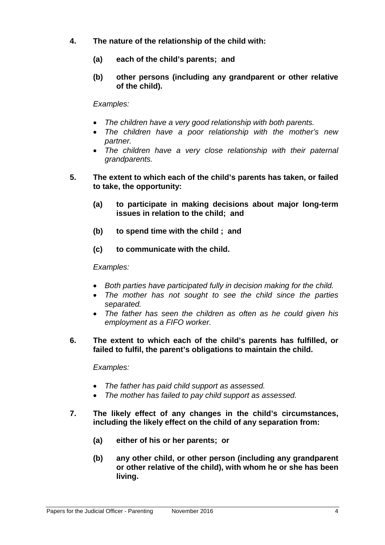- **4. The nature of the relationship of the child with:**
	- **(a) each of the child's parents; and**
	- **(b) other persons (including any grandparent or other relative of the child).**

- *The children have a very good relationship with both parents.*
- *The children have a poor relationship with the mother's new partner.*
- *The children have a very close relationship with their paternal grandparents.*
- **5. The extent to which each of the child's parents has taken, or failed to take, the opportunity:**
	- **(a) to participate in making decisions about major long-term issues in relation to the child; and**
	- **(b) to spend time with the child ; and**
	- **(c) to communicate with the child.**

#### *Examples:*

- *Both parties have participated fully in decision making for the child.*
- *The mother has not sought to see the child since the parties separated.*
- *The father has seen the children as often as he could given his employment as a FIFO worker.*
- **6. The extent to which each of the child's parents has fulfilled, or failed to fulfil, the parent's obligations to maintain the child.**

- *The father has paid child support as assessed.*
- *The mother has failed to pay child support as assessed.*
- **7. The likely effect of any changes in the child's circumstances, including the likely effect on the child of any separation from:**
	- **(a) either of his or her parents; or**
	- **(b) any other child, or other person (including any grandparent or other relative of the child), with whom he or she has been living.**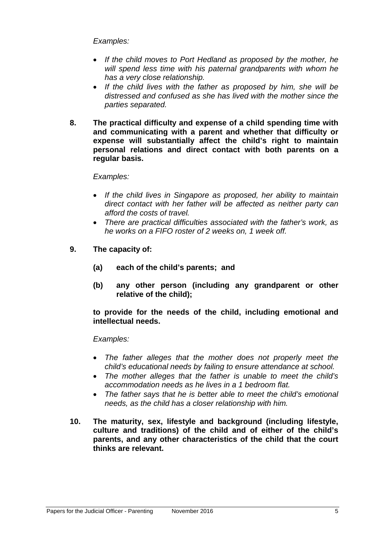- *If the child moves to Port Hedland as proposed by the mother, he will spend less time with his paternal grandparents with whom he has a very close relationship.*
- *If the child lives with the father as proposed by him, she will be distressed and confused as she has lived with the mother since the parties separated.*
- **8. The practical difficulty and expense of a child spending time with and communicating with a parent and whether that difficulty or expense will substantially affect the child's right to maintain personal relations and direct contact with both parents on a regular basis.**

### *Examples:*

- *If the child lives in Singapore as proposed, her ability to maintain direct contact with her father will be affected as neither party can afford the costs of travel.*
- *There are practical difficulties associated with the father's work, as he works on a FIFO roster of 2 weeks on, 1 week off.*
- **9. The capacity of:**
	- **(a) each of the child's parents; and**
	- **(b) any other person (including any grandparent or other relative of the child);**

**to provide for the needs of the child, including emotional and intellectual needs.**

- *The father alleges that the mother does not properly meet the child's educational needs by failing to ensure attendance at school.*
- *The mother alleges that the father is unable to meet the child's accommodation needs as he lives in a 1 bedroom flat.*
- *The father says that he is better able to meet the child's emotional needs, as the child has a closer relationship with him.*
- **10. The maturity, sex, lifestyle and background (including lifestyle, culture and traditions) of the child and of either of the child's parents, and any other characteristics of the child that the court thinks are relevant.**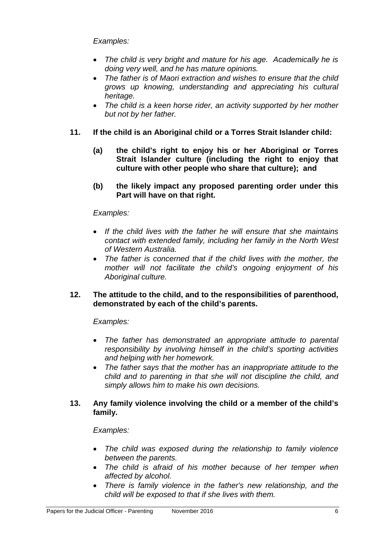- *The child is very bright and mature for his age. Academically he is doing very well, and he has mature opinions.*
- *The father is of Maori extraction and wishes to ensure that the child grows up knowing, understanding and appreciating his cultural heritage.*
- *The child is a keen horse rider, an activity supported by her mother but not by her father.*
- **11. If the child is an Aboriginal child or a Torres Strait Islander child:**
	- **(a) the child's right to enjoy his or her Aboriginal or Torres Strait Islander culture (including the right to enjoy that culture with other people who share that culture); and**
	- **(b) the likely impact any proposed parenting order under this Part will have on that right.**

### *Examples:*

- *If the child lives with the father he will ensure that she maintains contact with extended family, including her family in the North West of Western Australia.*
- *The father is concerned that if the child lives with the mother, the mother will not facilitate the child's ongoing enjoyment of his Aboriginal culture.*

### **12. The attitude to the child, and to the responsibilities of parenthood, demonstrated by each of the child's parents.**

### *Examples:*

- *The father has demonstrated an appropriate attitude to parental responsibility by involving himself in the child's sporting activities and helping with her homework.*
- *The father says that the mother has an inappropriate attitude to the child and to parenting in that she will not discipline the child, and simply allows him to make his own decisions.*

### **13. Any family violence involving the child or a member of the child's family.**

- *The child was exposed during the relationship to family violence between the parents.*
- *The child is afraid of his mother because of her temper when affected by alcohol.*
- *There is family violence in the father's new relationship, and the child will be exposed to that if she lives with them.*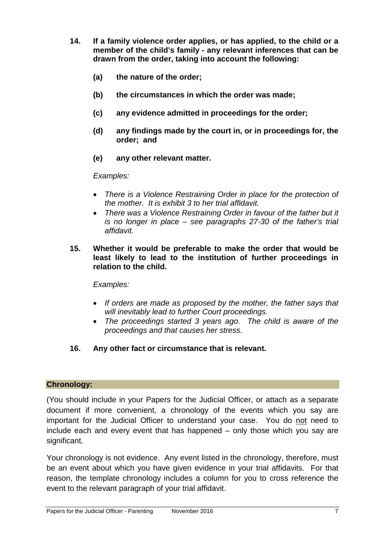- **14. If a family violence order applies, or has applied, to the child or a member of the child's family - any relevant inferences that can be drawn from the order, taking into account the following:**
	- **(a) the nature of the order;**
	- **(b) the circumstances in which the order was made;**
	- **(c) any evidence admitted in proceedings for the order;**
	- **(d) any findings made by the court in, or in proceedings for, the order; and**
	- **(e) any other relevant matter.**

- *There is a Violence Restraining Order in place for the protection of the mother. It is exhibit 3 to her trial affidavit.*
- *There was a Violence Restraining Order in favour of the father but it is no longer in place – see paragraphs 27-30 of the father's trial affidavit.*
- **15. Whether it would be preferable to make the order that would be least likely to lead to the institution of further proceedings in relation to the child.**

*Examples:*

- *If orders are made as proposed by the mother, the father says that will inevitably lead to further Court proceedings.*
- *The proceedings started 3 years ago. The child is aware of the proceedings and that causes her stress.*
- **16. Any other fact or circumstance that is relevant.**

### **Chronology:**

(You should include in your Papers for the Judicial Officer, or attach as a separate document if more convenient, a chronology of the events which you say are important for the Judicial Officer to understand your case. You do not need to include each and every event that has happened – only those which you say are significant.

Your chronology is not evidence. Any event listed in the chronology, therefore, must be an event about which you have given evidence in your trial affidavits. For that reason, the template chronology includes a column for you to cross reference the event to the relevant paragraph of your trial affidavit.